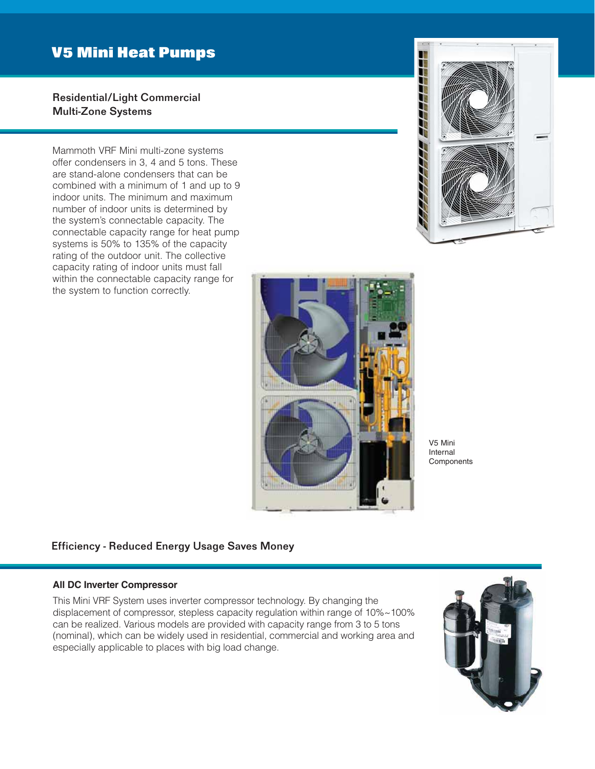### Residential/Light Commercial Multi-Zone Systems

Mammoth VRF Mini multi-zone systems offer condensers in 3, 4 and 5 tons. These are stand-alone condensers that can be combined with a minimum of 1 and up to 9 indoor units. The minimum and maximum number of indoor units is determined by the system's connectable capacity. The connectable capacity range for heat pump systems is 50% to 135% of the capacity rating of the outdoor unit. The collective capacity rating of indoor units must fall within the connectable capacity range for the system to function correctly.





V5 Mini Internal **Components** 

### Efficiency - Reduced Energy Usage Saves Money

#### **All DC Inverter Compressor**

This Mini VRF System uses inverter compressor technology. By changing the displacement of compressor, stepless capacity regulation within range of 10%~100% can be realized. Various models are provided with capacity range from 3 to 5 tons (nominal), which can be widely used in residential, commercial and working area and especially applicable to places with big load change.

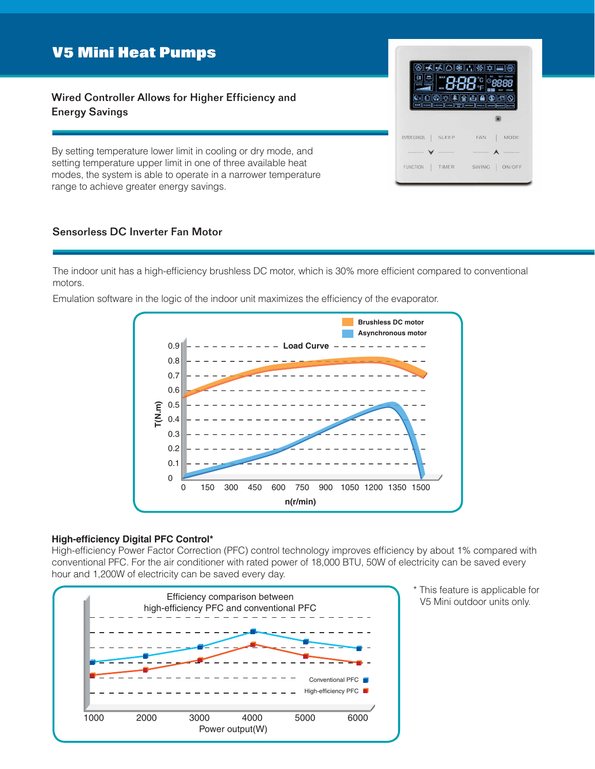Wired Controller Allows for Higher Efficiency and Energy Savings

By setting temperature lower limit in cooling or dry mode, and setting temperature upper limit in one of three available heat modes, the system is able to operate in a narrower temperature range to achieve greater energy savings.

### Sensorless DC Inverter Fan Motor

The indoor unit has a high-efficiency brushless DC motor, which is 30% more efficient compared to conventional motors.

Emulation software in the logic of the indoor unit maximizes the efficiency of the evaporator.



#### **High-efficiency Digital PFC Control\***

High-efficiency Power Factor Correction (PFC) control technology improves efficiency by about 1% compared with conventional PFC. For the air conditioner with rated power of 18,000 BTU, 50W of electricity can be saved every hour and 1,200W of electricity can be saved every day.



\* This feature is applicable for V5 Mini outdoor units only.

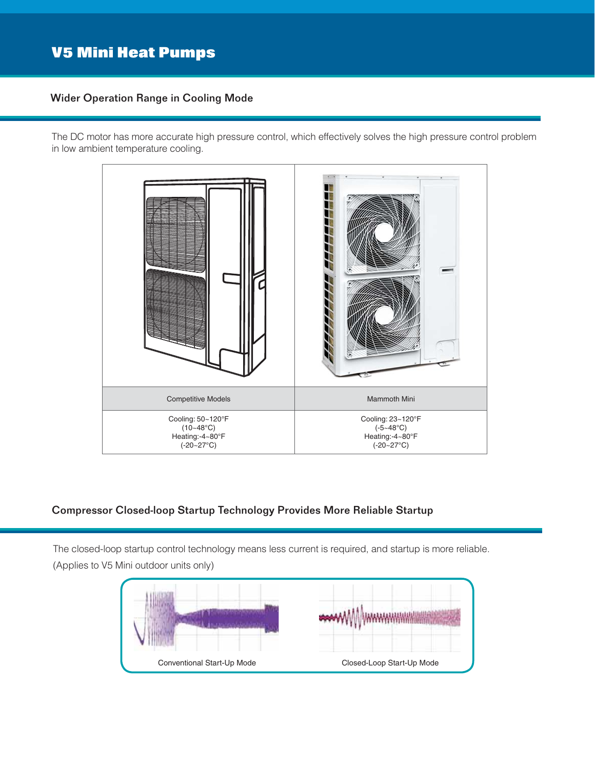#### Wider Operation Range in Cooling Mode

The DC motor has more accurate high pressure control, which effectively solves the high pressure control problem in low ambient temperature cooling.



#### Compressor Closed-loop Startup Technology Provides More Reliable Startup

The closed-loop startup control technology means less current is required, and startup is more reliable. (Applies to V5 Mini outdoor units only)

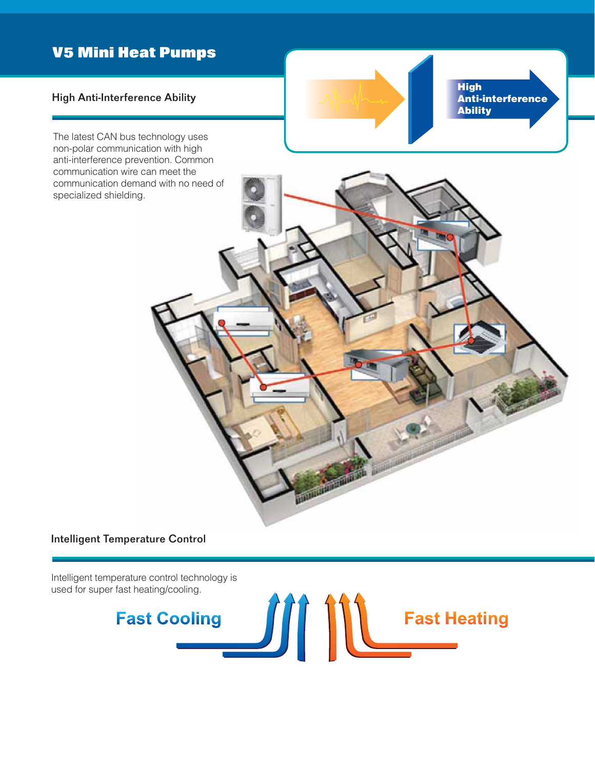### High Anti-Interference Ability

The latest CAN bus technology uses non-polar communication with high anti-interference prevention. Common communication wire can meet the communication demand with no need of specialized shielding.

**High Anti-interference Ability**



### Intelligent Temperature Control

Intelligent temperature control technology is used for super fast heating/cooling.

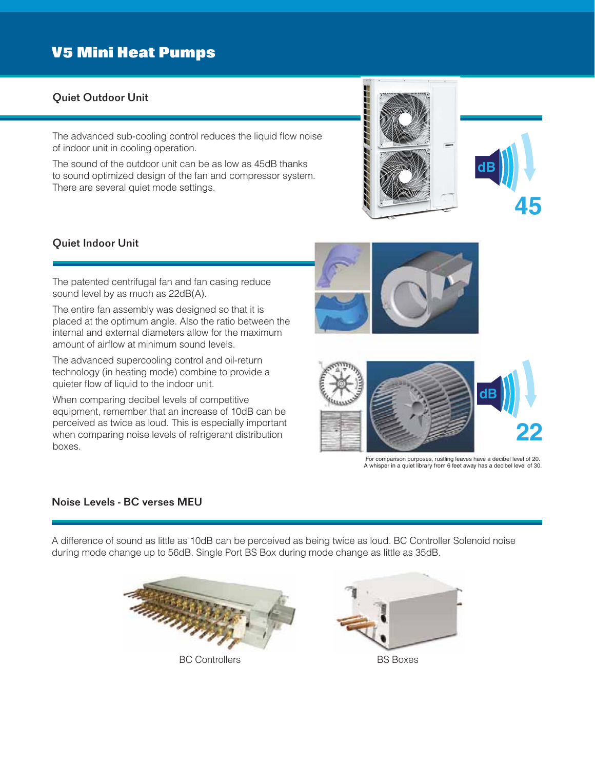### Quiet Outdoor Unit

The advanced sub-cooling control reduces the liquid flow noise of indoor unit in cooling operation.

The sound of the outdoor unit can be as low as 45dB thanks to sound optimized design of the fan and compressor system. There are several quiet mode settings.

### Quiet Indoor Unit

The patented centrifugal fan and fan casing reduce sound level by as much as 22dB(A).

The entire fan assembly was designed so that it is placed at the optimum angle. Also the ratio between the internal and external diameters allow for the maximum amount of airflow at minimum sound levels.

The advanced supercooling control and oil-return technology (in heating mode) combine to provide a quieter flow of liquid to the indoor unit.

When comparing decibel levels of competitive equipment, remember that an increase of 10dB can be perceived as twice as loud. This is especially important when comparing noise levels of refrigerant distribution boxes.

#### Noise Levels - BC verses MEU

A difference of sound as little as 10dB can be perceived as being twice as loud. BC Controller Solenoid noise during mode change up to 56dB. Single Port BS Box during mode change as little as 35dB.











For comparison purposes, rustling leaves have a decibel level of 20. A whisper in a quiet library from 6 feet away has a decibel level of 30.